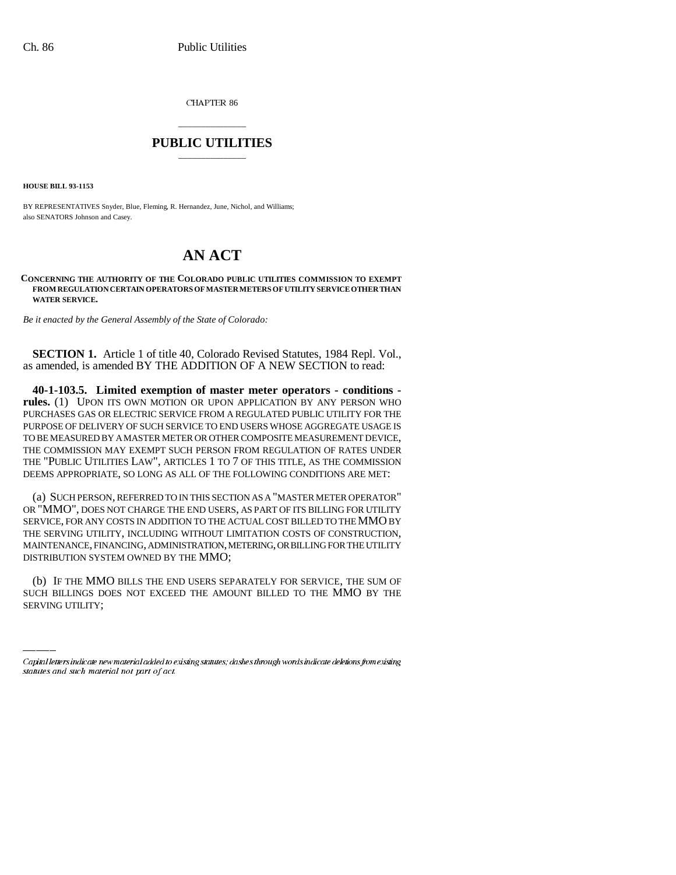CHAPTER 86

## \_\_\_\_\_\_\_\_\_\_\_\_\_\_\_ **PUBLIC UTILITIES** \_\_\_\_\_\_\_\_\_\_\_\_\_\_\_

**HOUSE BILL 93-1153**

BY REPRESENTATIVES Snyder, Blue, Fleming, R. Hernandez, June, Nichol, and Williams; also SENATORS Johnson and Casey.

## **AN ACT**

**CONCERNING THE AUTHORITY OF THE COLORADO PUBLIC UTILITIES COMMISSION TO EXEMPT FROM REGULATION CERTAIN OPERATORS OF MASTER METERS OF UTILITY SERVICE OTHER THAN WATER SERVICE.**

*Be it enacted by the General Assembly of the State of Colorado:*

**SECTION 1.** Article 1 of title 40, Colorado Revised Statutes, 1984 Repl. Vol., as amended, is amended BY THE ADDITION OF A NEW SECTION to read:

**40-1-103.5. Limited exemption of master meter operators - conditions rules.** (1) UPON ITS OWN MOTION OR UPON APPLICATION BY ANY PERSON WHO PURCHASES GAS OR ELECTRIC SERVICE FROM A REGULATED PUBLIC UTILITY FOR THE PURPOSE OF DELIVERY OF SUCH SERVICE TO END USERS WHOSE AGGREGATE USAGE IS TO BE MEASURED BY A MASTER METER OR OTHER COMPOSITE MEASUREMENT DEVICE, THE COMMISSION MAY EXEMPT SUCH PERSON FROM REGULATION OF RATES UNDER THE "PUBLIC UTILITIES LAW", ARTICLES 1 TO 7 OF THIS TITLE, AS THE COMMISSION DEEMS APPROPRIATE, SO LONG AS ALL OF THE FOLLOWING CONDITIONS ARE MET:

(a) SUCH PERSON, REFERRED TO IN THIS SECTION AS A "MASTER METER OPERATOR" OR "MMO", DOES NOT CHARGE THE END USERS, AS PART OF ITS BILLING FOR UTILITY SERVICE, FOR ANY COSTS IN ADDITION TO THE ACTUAL COST BILLED TO THE MMO BY THE SERVING UTILITY, INCLUDING WITHOUT LIMITATION COSTS OF CONSTRUCTION, MAINTENANCE, FINANCING, ADMINISTRATION, METERING, OR BILLING FOR THE UTILITY DISTRIBUTION SYSTEM OWNED BY THE MMO;

(b) IF THE MMO BILLS THE END USERS SEPARATELY FOR SERVICE, THE SUM OF SUCH BILLINGS DOES NOT EXCEED THE AMOUNT BILLED TO THE MMO BY THE SERVING UTILITY;

Capital letters indicate new material added to existing statutes; dashes through words indicate deletions from existing statutes and such material not part of act.